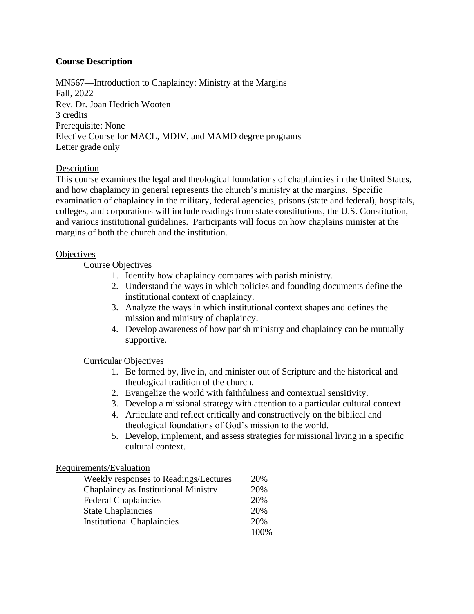# **Course Description**

MN567—Introduction to Chaplaincy: Ministry at the Margins Fall, 2022 Rev. Dr. Joan Hedrich Wooten 3 credits Prerequisite: None Elective Course for MACL, MDIV, and MAMD degree programs Letter grade only

## **Description**

This course examines the legal and theological foundations of chaplaincies in the United States, and how chaplaincy in general represents the church's ministry at the margins. Specific examination of chaplaincy in the military, federal agencies, prisons (state and federal), hospitals, colleges, and corporations will include readings from state constitutions, the U.S. Constitution, and various institutional guidelines. Participants will focus on how chaplains minister at the margins of both the church and the institution.

## **Objectives**

Course Objectives

- 1. Identify how chaplaincy compares with parish ministry.
- 2. Understand the ways in which policies and founding documents define the institutional context of chaplaincy.
- 3. Analyze the ways in which institutional context shapes and defines the mission and ministry of chaplaincy.
- 4. Develop awareness of how parish ministry and chaplaincy can be mutually supportive.

## Curricular Objectives

- 1. Be formed by, live in, and minister out of Scripture and the historical and theological tradition of the church.
- 2. Evangelize the world with faithfulness and contextual sensitivity.
- 3. Develop a missional strategy with attention to a particular cultural context.
- 4. Articulate and reflect critically and constructively on the biblical and theological foundations of God's mission to the world.
- 5. Develop, implement, and assess strategies for missional living in a specific cultural context.

## Requirements/Evaluation

| Weekly responses to Readings/Lectures | 20%   |
|---------------------------------------|-------|
| Chaplaincy as Institutional Ministry  | 20%   |
| <b>Federal Chaplaincies</b>           | 20%   |
| <b>State Chaplaincies</b>             | 20%   |
| <b>Institutional Chaplaincies</b>     | 20%   |
|                                       | 100\% |